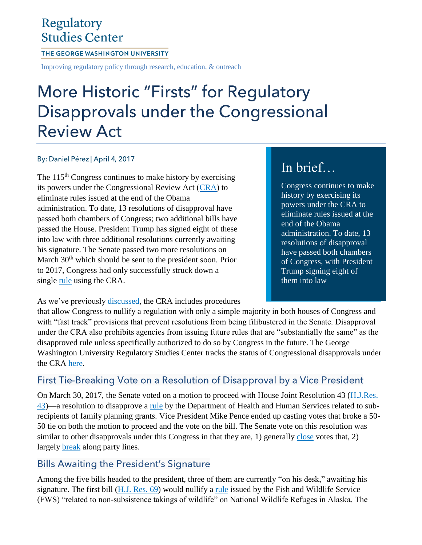## Regulatory **Studies Center**

#### THE GEORGE WASHINGTON UNIVERSITY

Improving regulatory policy through research, education, & outreach

# More Historic "Firsts" for Regulatory Disapprovals under the Congressional **Review Act**

#### By: Daniel Pérez | April 4, 2017

The  $115<sup>th</sup>$  Congress continues to make history by exercising its powers under the Congressional Review Act [\(CRA\)](https://regulatorystudies.columbian.gwu.edu/congressional-review-act-fact-sheet) to eliminate rules issued at the end of the Obama administration. To date, 13 resolutions of disapproval have passed both chambers of Congress; two additional bills have passed the House. President Trump has signed eight of these into law with three additional resolutions currently awaiting his signature. The Senate passed two more resolutions on March 30<sup>th</sup> which should be sent to the president soon. Prior to 2017, Congress had only successfully struck down a single [rule](https://www.federalregister.gov/documents/2000/11/14/00-28854/ergonomics-program) using the CRA.

# In brief…

Congress continues to make history by exercising its powers under the CRA to eliminate rules issued at the end of the Obama administration. To date, 13 resolutions of disapproval have passed both chambers of Congress, with President Trump signing eight of them into law

As we've previously [discussed,](https://regulatorystudies.columbian.gwu.edu/congressional-review-act-fact-sheet) the CRA includes procedures

that allow Congress to nullify a regulation with only a simple majority in both houses of Congress and with "fast track" provisions that prevent resolutions from being filibustered in the Senate. Disapproval under the CRA also prohibits agencies from issuing future rules that are "substantially the same" as the disapproved rule unless specifically authorized to do so by Congress in the future. The George Washington University Regulatory Studies Center tracks the status of Congressional disapprovals under the CRA [here.](https://regulatorystudies.columbian.gwu.edu/reg-stats)

### First Tie-Breaking Vote on a Resolution of Disapproval by a Vice President

On March 30, 2017, the Senate voted on a motion to proceed with House Joint Resolution 43 [\(H.J.Res.](https://www.congress.gov/bill/115th-congress/house-joint-resolution/43?r=8) [43\)](https://www.congress.gov/bill/115th-congress/house-joint-resolution/43?r=8)—a resolution to disapprove a [rule](https://www.federalregister.gov/documents/2016/12/19/2016-30276/compliance-with-title-x-requirements-by-project-recipients-in-selecting-subrecipients) by the Department of Health and Human Services related to subrecipients of family planning grants. Vice President Mike Pence ended up casting votes that broke a 50- 50 tie on both the motion to proceed and the vote on the bill. The Senate vote on this resolution was similar to other disapprovals under this Congress in that they are, 1) generally [close](https://www.congress.gov/advanced-search/legislation?searchingNow=true&sourceTab=legislation&selections=%7b%22wordVariants%22:%22true%22,%22congresses%22:%5b%22115%22%5d,%22restrictionType%22:%22field%22,%22restrictionFields%22:%5b%22billSummary%22,%22allBillTitles%22%5d,%22legislationTypes%22:%5b%22hjres%22,%22sjres%22%5d,%22legislationScope%22:%22All%22,%22legislativeActionScope%22:%22All%22,%22legislativeAction%22:%22Any%22,%22legislativeActionChamber%22:%22All%22,%22legislativeActionWordVariants%22:%22true%22,%22dateOfIntroductionOperator%22:%22equal%22,%22dateOfIntroductionIsOptions%22:%221%22,%22sponsorState%22:%22One%22,%22sponsorTypes%22:%5b%22sponsor%22,%22%22%5d,%22sponsorTypeBool%22:%22Or%22,%22committeeBoolType%22:%22Or%22,%22searchResultViewType%22:%22compact%22%7d&satelliteData=%5b%7b%22legislativeActionsBool%22:%22Or%22%7d%5d&searchResultViewType=compact&q=%7b%22bill-status%22:%22passed-one%22,%22congress%22:%22all%22,%22type%22:%22all%22%7d&pageSort=documentNumber:asc) votes that, 2) largely [break](https://www.govtrack.us/congress/votes/115-2017/s101) along party lines.

### **Bills Awaiting the President's Signature**

Among the five bills headed to the president, three of them are currently "on his desk," awaiting his signature. The first bill [\(H.J.](https://www.congress.gov/bill/115th-congress/house-joint-resolution/69?r=14) Res. 69) would nullify a [rule](https://www.federalregister.gov/documents/2016/08/05/2016-18117/non-subsistence-take-of-wildlife-and-public-participation-and-closure-procedures-on-national) issued by the Fish and Wildlife Service (FWS) "related to non-subsistence takings of wildlife" on National Wildlife Refuges in Alaska. The